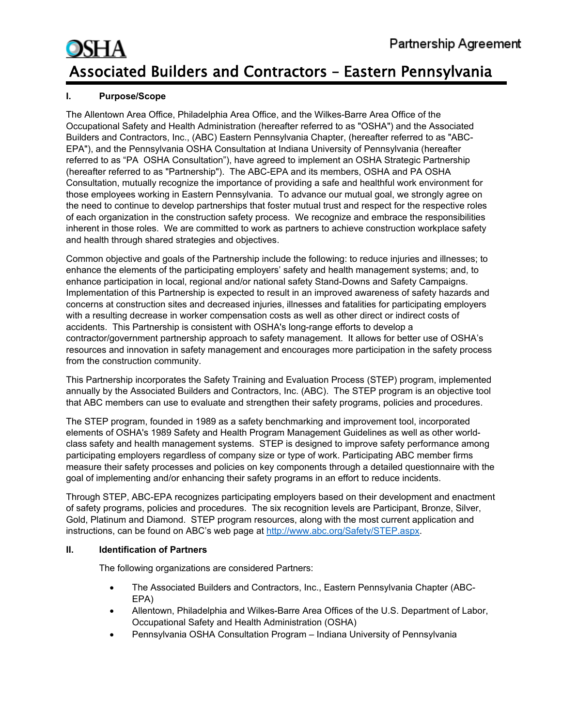#### **I. Purpose/Scope**

The Allentown Area Office, Philadelphia Area Office, and the Wilkes-Barre Area Office of the Occupational Safety and Health Administration (hereafter referred to as "OSHA") and the Associated Builders and Contractors, Inc., (ABC) Eastern Pennsylvania Chapter, (hereafter referred to as "ABC-EPA"), and the Pennsylvania OSHA Consultation at Indiana University of Pennsylvania (hereafter referred to as "PA OSHA Consultation"), have agreed to implement an OSHA Strategic Partnership (hereafter referred to as "Partnership"). The ABC-EPA and its members, OSHA and PA OSHA Consultation, mutually recognize the importance of providing a safe and healthful work environment for those employees working in Eastern Pennsylvania. To advance our mutual goal, we strongly agree on the need to continue to develop partnerships that foster mutual trust and respect for the respective roles of each organization in the construction safety process. We recognize and embrace the responsibilities inherent in those roles. We are committed to work as partners to achieve construction workplace safety and health through shared strategies and objectives.

Common objective and goals of the Partnership include the following: to reduce injuries and illnesses; to enhance the elements of the participating employers' safety and health management systems; and, to enhance participation in local, regional and/or national safety Stand-Downs and Safety Campaigns. Implementation of this Partnership is expected to result in an improved awareness of safety hazards and concerns at construction sites and decreased injuries, illnesses and fatalities for participating employers with a resulting decrease in worker compensation costs as well as other direct or indirect costs of accidents. This Partnership is consistent with OSHA's long-range efforts to develop a contractor/government partnership approach to safety management. It allows for better use of OSHA's resources and innovation in safety management and encourages more participation in the safety process from the construction community.

This Partnership incorporates the Safety Training and Evaluation Process (STEP) program, implemented annually by the Associated Builders and Contractors, Inc. (ABC). The STEP program is an objective tool that ABC members can use to evaluate and strengthen their safety programs, policies and procedures.

The STEP program, founded in 1989 as a safety benchmarking and improvement tool, incorporated elements of OSHA's 1989 Safety and Health Program Management Guidelines as well as other worldclass safety and health management systems. STEP is designed to improve safety performance among participating employers regardless of company size or type of work. Participating ABC member firms measure their safety processes and policies on key components through a detailed questionnaire with the goal of implementing and/or enhancing their safety programs in an effort to reduce incidents.

Through STEP, ABC-EPA recognizes participating employers based on their development and enactment of safety programs, policies and procedures. The six recognition levels are Participant, Bronze, Silver, Gold, Platinum and Diamond. STEP program resources, along with the most current application and instructions, can be found on ABC's web page at [http://www.abc.org/Safety/STEP.aspx.](http://www.abc.org/Safety/STEP.aspx)

#### **II. Identification of Partners**

The following organizations are considered Partners:

- The Associated Builders and Contractors, Inc., Eastern Pennsylvania Chapter (ABC-EPA)
- Allentown, Philadelphia and Wilkes-Barre Area Offices of the U.S. Department of Labor, Occupational Safety and Health Administration (OSHA)
- Pennsylvania OSHA Consultation Program Indiana University of Pennsylvania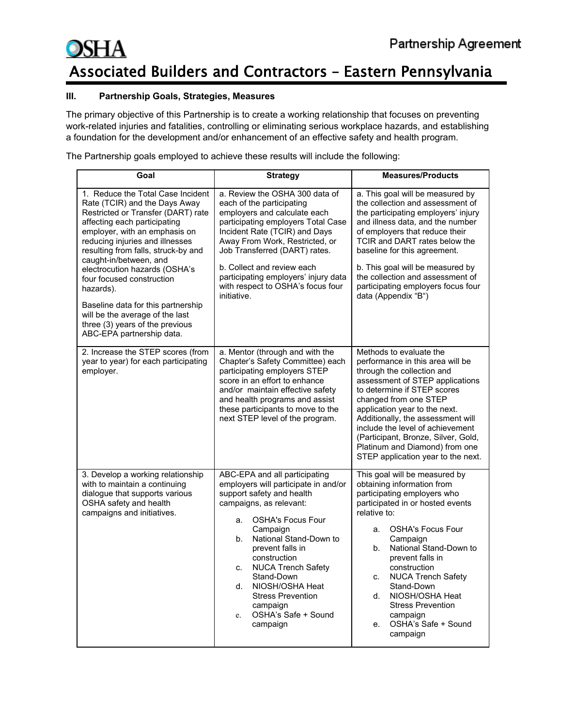#### **III. Partnership Goals, Strategies, Measures**

The primary objective of this Partnership is to create a working relationship that focuses on preventing work-related injuries and fatalities, controlling or eliminating serious workplace hazards, and establishing a foundation for the development and/or enhancement of an effective safety and health program.

The Partnership goals employed to achieve these results will include the following:

| Goal                                                                                                                                                                                                                                                                                                                                                                                                                                                                                              | <b>Strategy</b>                                                                                                                                                                                                                                                                                                                                                                                            | <b>Measures/Products</b>                                                                                                                                                                                                                                                                                                                                                                                                         |
|---------------------------------------------------------------------------------------------------------------------------------------------------------------------------------------------------------------------------------------------------------------------------------------------------------------------------------------------------------------------------------------------------------------------------------------------------------------------------------------------------|------------------------------------------------------------------------------------------------------------------------------------------------------------------------------------------------------------------------------------------------------------------------------------------------------------------------------------------------------------------------------------------------------------|----------------------------------------------------------------------------------------------------------------------------------------------------------------------------------------------------------------------------------------------------------------------------------------------------------------------------------------------------------------------------------------------------------------------------------|
| 1. Reduce the Total Case Incident<br>Rate (TCIR) and the Days Away<br>Restricted or Transfer (DART) rate<br>affecting each participating<br>employer, with an emphasis on<br>reducing injuries and illnesses<br>resulting from falls, struck-by and<br>caught-in/between, and<br>electrocution hazards (OSHA's<br>four focused construction<br>hazards).<br>Baseline data for this partnership<br>will be the average of the last<br>three (3) years of the previous<br>ABC-EPA partnership data. | a. Review the OSHA 300 data of<br>each of the participating<br>employers and calculate each<br>participating employers Total Case<br>Incident Rate (TCIR) and Days<br>Away From Work, Restricted, or<br>Job Transferred (DART) rates.<br>b. Collect and review each<br>participating employers' injury data<br>with respect to OSHA's focus four<br>initiative.                                            | a. This goal will be measured by<br>the collection and assessment of<br>the participating employers' injury<br>and illness data, and the number<br>of employers that reduce their<br>TCIR and DART rates below the<br>baseline for this agreement.<br>b. This goal will be measured by<br>the collection and assessment of<br>participating employers focus four<br>data (Appendix "B")                                          |
| 2. Increase the STEP scores (from<br>year to year) for each participating<br>employer.                                                                                                                                                                                                                                                                                                                                                                                                            | a. Mentor (through and with the<br>Chapter's Safety Committee) each<br>participating employers STEP<br>score in an effort to enhance<br>and/or maintain effective safety<br>and health programs and assist<br>these participants to move to the<br>next STEP level of the program.                                                                                                                         | Methods to evaluate the<br>performance in this area will be<br>through the collection and<br>assessment of STEP applications<br>to determine if STEP scores<br>changed from one STEP<br>application year to the next.<br>Additionally, the assessment will<br>include the level of achievement<br>(Participant, Bronze, Silver, Gold,<br>Platinum and Diamond) from one<br>STEP application year to the next.                    |
| 3. Develop a working relationship<br>with to maintain a continuing<br>dialogue that supports various<br>OSHA safety and health<br>campaigns and initiatives.                                                                                                                                                                                                                                                                                                                                      | ABC-EPA and all participating<br>employers will participate in and/or<br>support safety and health<br>campaigns, as relevant:<br><b>OSHA's Focus Four</b><br>а.<br>Campaign<br>National Stand-Down to<br>b.<br>prevent falls in<br>construction<br><b>NUCA Trench Safety</b><br>C.<br>Stand-Down<br>NIOSH/OSHA Heat<br>d.<br><b>Stress Prevention</b><br>campaign<br>OSHA's Safe + Sound<br>e.<br>campaign | This goal will be measured by<br>obtaining information from<br>participating employers who<br>participated in or hosted events<br>relative to:<br><b>OSHA's Focus Four</b><br>а.<br>Campaign<br>National Stand-Down to<br>b.<br>prevent falls in<br>construction<br><b>NUCA Trench Safety</b><br>C.<br>Stand-Down<br>NIOSH/OSHA Heat<br>d.<br><b>Stress Prevention</b><br>campaign<br>OSHA's Safe + Sound<br>$e_{-}$<br>campaign |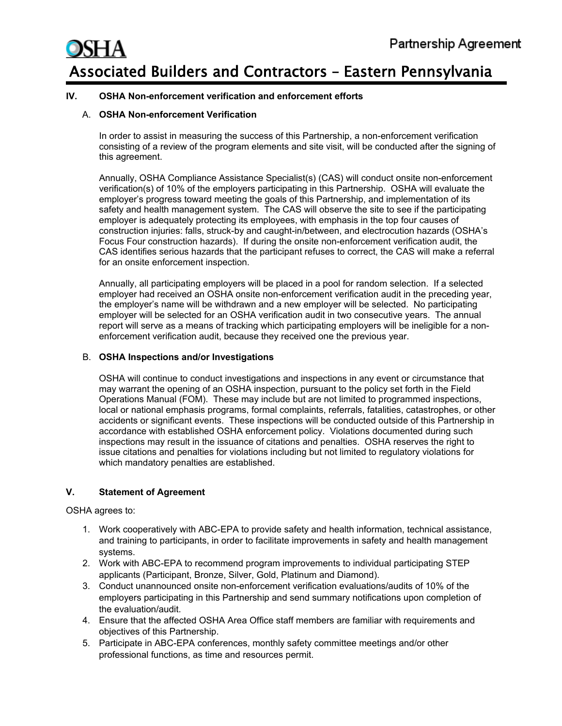#### **IV. OSHA Non-enforcement verification and enforcement efforts**

#### A. **OSHA Non-enforcement Verification**

In order to assist in measuring the success of this Partnership, a non-enforcement verification consisting of a review of the program elements and site visit, will be conducted after the signing of this agreement.

Annually, OSHA Compliance Assistance Specialist(s) (CAS) will conduct onsite non-enforcement verification(s) of 10% of the employers participating in this Partnership. OSHA will evaluate the employer's progress toward meeting the goals of this Partnership, and implementation of its safety and health management system. The CAS will observe the site to see if the participating employer is adequately protecting its employees, with emphasis in the top four causes of construction injuries: falls, struck-by and caught-in/between, and electrocution hazards (OSHA's Focus Four construction hazards). If during the onsite non-enforcement verification audit, the CAS identifies serious hazards that the participant refuses to correct, the CAS will make a referral for an onsite enforcement inspection.

Annually, all participating employers will be placed in a pool for random selection. If a selected employer had received an OSHA onsite non-enforcement verification audit in the preceding year, the employer's name will be withdrawn and a new employer will be selected. No participating employer will be selected for an OSHA verification audit in two consecutive years. The annual report will serve as a means of tracking which participating employers will be ineligible for a nonenforcement verification audit, because they received one the previous year.

#### B. **OSHA Inspections and/or Investigations**

OSHA will continue to conduct investigations and inspections in any event or circumstance that may warrant the opening of an OSHA inspection, pursuant to the policy set forth in the Field Operations Manual (FOM). These may include but are not limited to programmed inspections, local or national emphasis programs, formal complaints, referrals, fatalities, catastrophes, or other accidents or significant events. These inspections will be conducted outside of this Partnership in accordance with established OSHA enforcement policy. Violations documented during such inspections may result in the issuance of citations and penalties. OSHA reserves the right to issue citations and penalties for violations including but not limited to regulatory violations for which mandatory penalties are established.

#### **V. Statement of Agreement**

OSHA agrees to:

- 1. Work cooperatively with ABC-EPA to provide safety and health information, technical assistance, and training to participants, in order to facilitate improvements in safety and health management systems.
- 2. Work with ABC-EPA to recommend program improvements to individual participating STEP applicants (Participant, Bronze, Silver, Gold, Platinum and Diamond).
- 3. Conduct unannounced onsite non-enforcement verification evaluations/audits of 10% of the employers participating in this Partnership and send summary notifications upon completion of the evaluation/audit.
- 4. Ensure that the affected OSHA Area Office staff members are familiar with requirements and objectives of this Partnership.
- 5. Participate in ABC-EPA conferences, monthly safety committee meetings and/or other professional functions, as time and resources permit.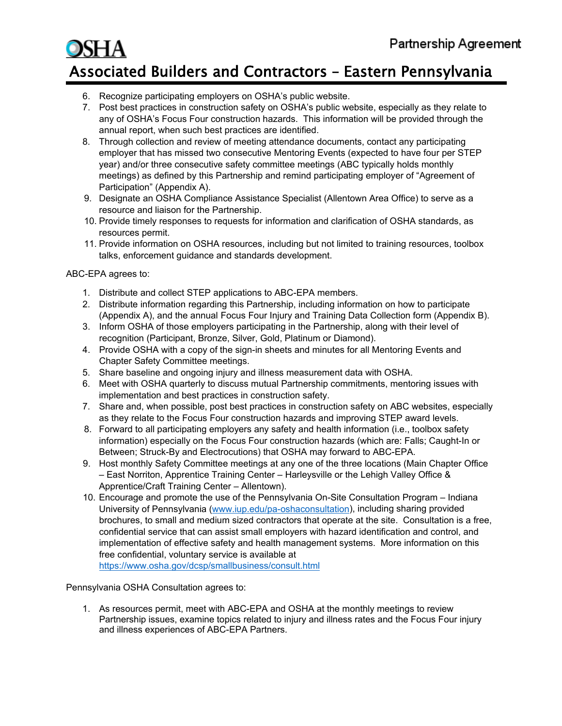- 6. Recognize participating employers on OSHA's public website.
- 7. Post best practices in construction safety on OSHA's public website, especially as they relate to any of OSHA's Focus Four construction hazards. This information will be provided through the annual report, when such best practices are identified.
- 8. Through collection and review of meeting attendance documents, contact any participating employer that has missed two consecutive Mentoring Events (expected to have four per STEP year) and/or three consecutive safety committee meetings (ABC typically holds monthly meetings) as defined by this Partnership and remind participating employer of "Agreement of Participation" (Appendix A).
- 9. Designate an OSHA Compliance Assistance Specialist (Allentown Area Office) to serve as a resource and liaison for the Partnership.
- 10. Provide timely responses to requests for information and clarification of OSHA standards, as resources permit.
- 11. Provide information on OSHA resources, including but not limited to training resources, toolbox talks, enforcement guidance and standards development.

#### ABC-EPA agrees to:

- 1. Distribute and collect STEP applications to ABC-EPA members.
- 2. Distribute information regarding this Partnership, including information on how to participate (Appendix A), and the annual Focus Four Injury and Training Data Collection form (Appendix B).
- 3. Inform OSHA of those employers participating in the Partnership, along with their level of recognition (Participant, Bronze, Silver, Gold, Platinum or Diamond).
- 4. Provide OSHA with a copy of the sign-in sheets and minutes for all Mentoring Events and Chapter Safety Committee meetings.
- 5. Share baseline and ongoing injury and illness measurement data with OSHA.
- 6. Meet with OSHA quarterly to discuss mutual Partnership commitments, mentoring issues with implementation and best practices in construction safety.
- 7. Share and, when possible, post best practices in construction safety on ABC websites, especially as they relate to the Focus Four construction hazards and improving STEP award levels.
- 8. Forward to all participating employers any safety and health information (i.e., toolbox safety information) especially on the Focus Four construction hazards (which are: Falls; Caught-In or Between; Struck-By and Electrocutions) that OSHA may forward to ABC-EPA.
- 9. Host monthly Safety Committee meetings at any one of the three locations (Main Chapter Office – East Norriton, Apprentice Training Center – Harleysville or the Lehigh Valley Office & Apprentice/Craft Training Center – Allentown).
- 10. Encourage and promote the use of the Pennsylvania On-Site Consultation Program Indiana University of Pennsylvania [\(www.iup.edu/pa-oshaconsultation\)](https://gcc01.safelinks.protection.outlook.com/?url=http%3A%2F%2Fwww.iup.edu%2Fpa-oshaconsultation&data=02%7C01%7CShimandle.Scott%40dol.gov%7C858434bd7aba497d039208d7b0a002dd%7C75a6305472044e0c9126adab971d4aca%7C0%7C1%7C637172073759261757&sdata=86jutA%2FBMj1yFsTUQtflwpAfq3T1YhvKeNTJLsVC43w%3D&reserved=0), including sharing provided brochures, to small and medium sized contractors that operate at the site. Consultation is a free, confidential service that can assist small employers with hazard identification and control, and implementation of effective safety and health management systems. More information on this free confidential, voluntary service is available at

<https://www.osha.gov/dcsp/smallbusiness/consult.html>

Pennsylvania OSHA Consultation agrees to:

1. As resources permit, meet with ABC-EPA and OSHA at the monthly meetings to review Partnership issues, examine topics related to injury and illness rates and the Focus Four injury and illness experiences of ABC-EPA Partners.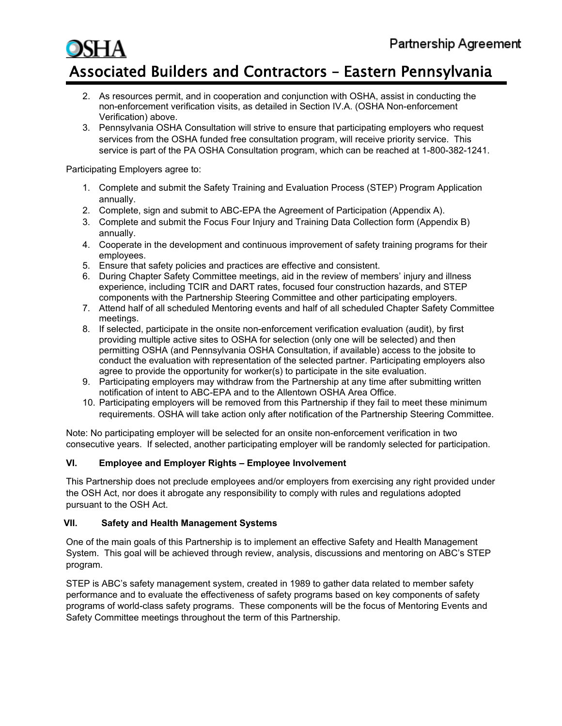- 2. As resources permit, and in cooperation and conjunction with OSHA, assist in conducting the non-enforcement verification visits, as detailed in Section IV.A. (OSHA Non-enforcement Verification) above.
- 3. Pennsylvania OSHA Consultation will strive to ensure that participating employers who request services from the OSHA funded free consultation program, will receive priority service. This service is part of the PA OSHA Consultation program, which can be reached at 1-800-382-1241.

Participating Employers agree to:

- 1. Complete and submit the Safety Training and Evaluation Process (STEP) Program Application annually.
- 2. Complete, sign and submit to ABC-EPA the Agreement of Participation (Appendix A).
- 3. Complete and submit the Focus Four Injury and Training Data Collection form (Appendix B) annually.
- 4. Cooperate in the development and continuous improvement of safety training programs for their employees.
- 5. Ensure that safety policies and practices are effective and consistent.
- 6. During Chapter Safety Committee meetings, aid in the review of members' injury and illness experience, including TCIR and DART rates, focused four construction hazards, and STEP components with the Partnership Steering Committee and other participating employers.
- 7. Attend half of all scheduled Mentoring events and half of all scheduled Chapter Safety Committee meetings.
- 8. If selected, participate in the onsite non-enforcement verification evaluation (audit), by first providing multiple active sites to OSHA for selection (only one will be selected) and then permitting OSHA (and Pennsylvania OSHA Consultation, if available) access to the jobsite to conduct the evaluation with representation of the selected partner. Participating employers also agree to provide the opportunity for worker(s) to participate in the site evaluation.
- 9. Participating employers may withdraw from the Partnership at any time after submitting written notification of intent to ABC-EPA and to the Allentown OSHA Area Office.
- 10. Participating employers will be removed from this Partnership if they fail to meet these minimum requirements. OSHA will take action only after notification of the Partnership Steering Committee.

Note: No participating employer will be selected for an onsite non-enforcement verification in two consecutive years. If selected, another participating employer will be randomly selected for participation.

#### **VI. Employee and Employer Rights – Employee Involvement**

This Partnership does not preclude employees and/or employers from exercising any right provided under the OSH Act, nor does it abrogate any responsibility to comply with rules and regulations adopted pursuant to the OSH Act.

#### **VII. Safety and Health Management Systems**

One of the main goals of this Partnership is to implement an effective Safety and Health Management System. This goal will be achieved through review, analysis, discussions and mentoring on ABC's STEP program.

STEP is ABC's safety management system, created in 1989 to gather data related to member safety performance and to evaluate the effectiveness of safety programs based on key components of safety programs of world-class safety programs. These components will be the focus of Mentoring Events and Safety Committee meetings throughout the term of this Partnership.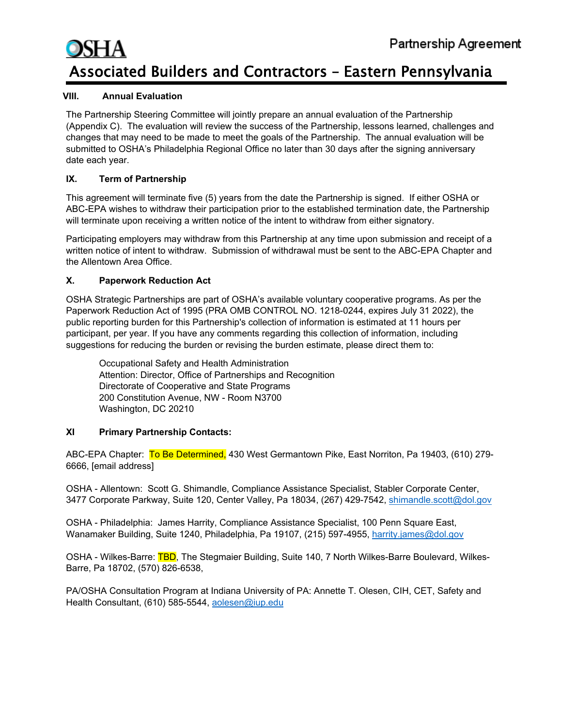#### **VIII. Annual Evaluation**

The Partnership Steering Committee will jointly prepare an annual evaluation of the Partnership (Appendix C). The evaluation will review the success of the Partnership, lessons learned, challenges and changes that may need to be made to meet the goals of the Partnership. The annual evaluation will be submitted to OSHA's Philadelphia Regional Office no later than 30 days after the signing anniversary date each year.

#### **IX. Term of Partnership**

This agreement will terminate five (5) years from the date the Partnership is signed. If either OSHA or ABC-EPA wishes to withdraw their participation prior to the established termination date, the Partnership will terminate upon receiving a written notice of the intent to withdraw from either signatory.

Participating employers may withdraw from this Partnership at any time upon submission and receipt of a written notice of intent to withdraw. Submission of withdrawal must be sent to the ABC-EPA Chapter and the Allentown Area Office.

#### **X. Paperwork Reduction Act**

OSHA Strategic Partnerships are part of OSHA's available voluntary cooperative programs. As per the Paperwork Reduction Act of 1995 (PRA OMB CONTROL NO. 1218-0244, expires July 31 2022), the public reporting burden for this Partnership's collection of information is estimated at 11 hours per participant, per year. If you have any comments regarding this collection of information, including suggestions for reducing the burden or revising the burden estimate, please direct them to:

Occupational Safety and Health Administration Attention: Director, Office of Partnerships and Recognition Directorate of Cooperative and State Programs 200 Constitution Avenue, NW - Room N3700 Washington, DC 20210

#### **XI Primary Partnership Contacts:**

ABC-EPA Chapter: To Be Determined, 430 West Germantown Pike, East Norriton, Pa 19403, (610) 279-6666, [email address]

OSHA - Allentown: Scott G. Shimandle, Compliance Assistance Specialist, Stabler Corporate Center, 3477 Corporate Parkway, Suite 120, Center Valley, Pa 18034, (267) 429-7542, [shimandle.scott@dol.gov](mailto:shimandle.scott@dol.gov)

OSHA - Philadelphia: James Harrity, Compliance Assistance Specialist, 100 Penn Square East, Wanamaker Building, Suite 1240, Philadelphia, Pa 19107, (215) 597-4955, [harrity.james@dol.gov](mailto:harrity.james@dol.gov)

OSHA - Wilkes-Barre: TBD, The Stegmaier Building, Suite 140, 7 North Wilkes-Barre Boulevard, Wilkes-Barre, Pa 18702, (570) 826-6538,

PA/OSHA Consultation Program at Indiana University of PA: Annette T. Olesen, CIH, CET, Safety and Health Consultant, (610) 585-5544, [aolesen@iup.edu](mailto:aolesen@iup.edu)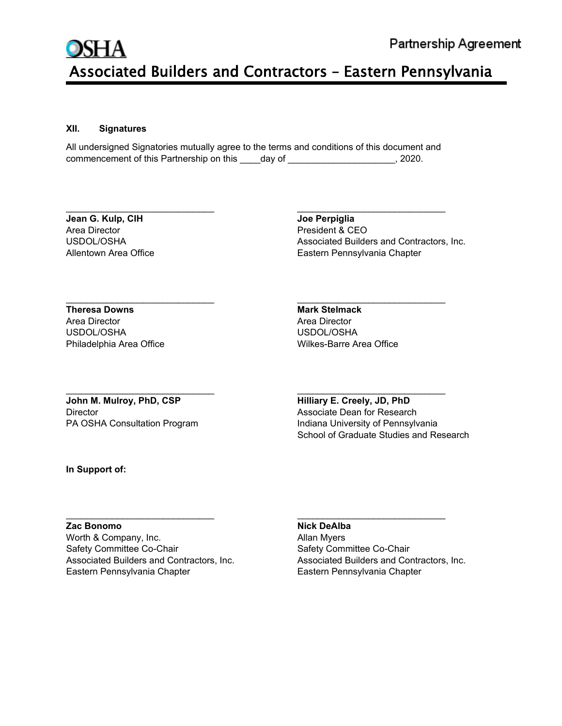#### **XII. Signatures**

All undersigned Signatories mutually agree to the terms and conditions of this document and commencement of this Partnership on this day of  $\qquad \qquad$ , 2020.

\_\_\_\_\_\_\_\_\_\_\_\_\_\_\_\_\_\_\_\_\_\_\_\_\_\_\_\_\_ \_\_\_\_\_\_\_\_\_\_\_\_\_\_\_\_\_\_\_\_\_\_\_\_\_\_\_\_\_

\_\_\_\_\_\_\_\_\_\_\_\_\_\_\_\_\_\_\_\_\_\_\_\_\_\_\_\_\_ \_\_\_\_\_\_\_\_\_\_\_\_\_\_\_\_\_\_\_\_\_\_\_\_\_\_\_\_\_

\_\_\_\_\_\_\_\_\_\_\_\_\_\_\_\_\_\_\_\_\_\_\_\_\_\_\_\_\_ \_\_\_\_\_\_\_\_\_\_\_\_\_\_\_\_\_\_\_\_\_\_\_\_\_\_\_\_\_

**Jean G. Kulp, CIH Joe Perpiglia** Area Director President & CEO

USDOL/OSHA Associated Builders and Contractors, Inc. Allentown Area Office **Eastern Pennsylvania Chapter** Eastern Pennsylvania Chapter

 $\overline{\phantom{a}}$  , and the contribution of the contribution of the contribution of the contribution of the contribution of the contribution of the contribution of the contribution of the contribution of the contribution of the **Theresa Downs Mark Stelmack** Area Director Area Director USDOL/OSHA

Philadelphia Area Office New York Controller Wilkes-Barre Area Office

**John M. Mulroy, PhD, CSP Hilliary E. Creely, JD, PhD** Director Associate Dean for Research

PA OSHA Consultation Program Indiana University of Pennsylvania School of Graduate Studies and Research

**In Support of:**

#### **Zac Bonomo Nick DeAlba**

Worth & Company, Inc. **Allan Myers** Allan Myers Safety Committee Co-Chair **Safety Committee Co-Chair** Safety Committee Co-Chair Eastern Pennsylvania Chapter **Eastern Pennsylvania Chapter** Eastern Pennsylvania Chapter

Associated Builders and Contractors, Inc. Associated Builders and Contractors, Inc.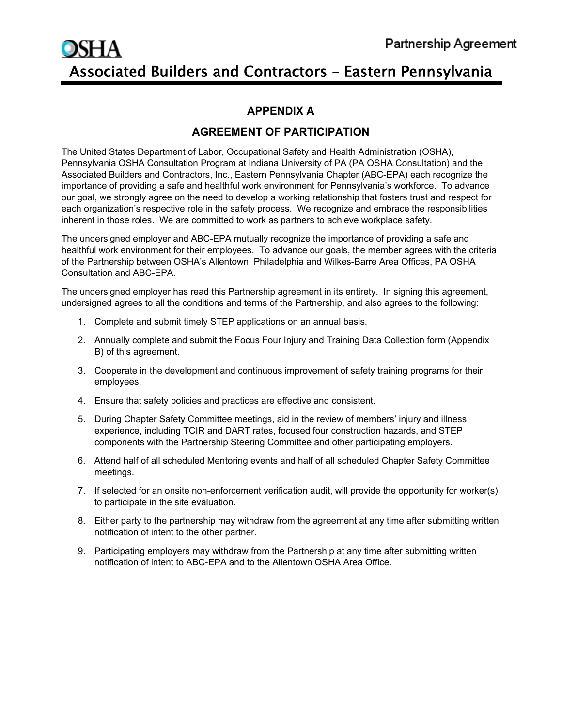#### **APPENDIX A**

#### **AGREEMENT OF PARTICIPATION**

The United States Department of Labor, Occupational Safety and Health Administration (OSHA), Pennsylvania OSHA Consultation Program at Indiana University of PA (PA OSHA Consultation) and the Associated Builders and Contractors, Inc., Eastern Pennsylvania Chapter (ABC-EPA) each recognize the importance of providing a safe and healthful work environment for Pennsylvania's workforce. To advance our goal, we strongly agree on the need to develop a working relationship that fosters trust and respect for each organization's respective role in the safety process. We recognize and embrace the responsibilities inherent in those roles. We are committed to work as partners to achieve workplace safety.

The undersigned employer and ABC-EPA mutually recognize the importance of providing a safe and healthful work environment for their employees. To advance our goals, the member agrees with the criteria of the Partnership between OSHA's Allentown, Philadelphia and Wilkes-Barre Area Offices, PA OSHA Consultation and ABC-EPA.

The undersigned employer has read this Partnership agreement in its entirety. In signing this agreement, undersigned agrees to all the conditions and terms of the Partnership, and also agrees to the following:

- 1. Complete and submit timely STEP applications on an annual basis.
- 2. Annually complete and submit the Focus Four Injury and Training Data Collection form (Appendix B) of this agreement.
- 3. Cooperate in the development and continuous improvement of safety training programs for their employees.
- 4. Ensure that safety policies and practices are effective and consistent.
- 5. During Chapter Safety Committee meetings, aid in the review of members' injury and illness experience, including TCIR and DART rates, focused four construction hazards, and STEP components with the Partnership Steering Committee and other participating employers.
- 6. Attend half of all scheduled Mentoring events and half of all scheduled Chapter Safety Committee meetings.
- 7. If selected for an onsite non-enforcement verification audit, will provide the opportunity for worker(s) to participate in the site evaluation.
- 8. Either party to the partnership may withdraw from the agreement at any time after submitting written notification of intent to the other partner.
- 9. Participating employers may withdraw from the Partnership at any time after submitting written notification of intent to ABC-EPA and to the Allentown OSHA Area Office.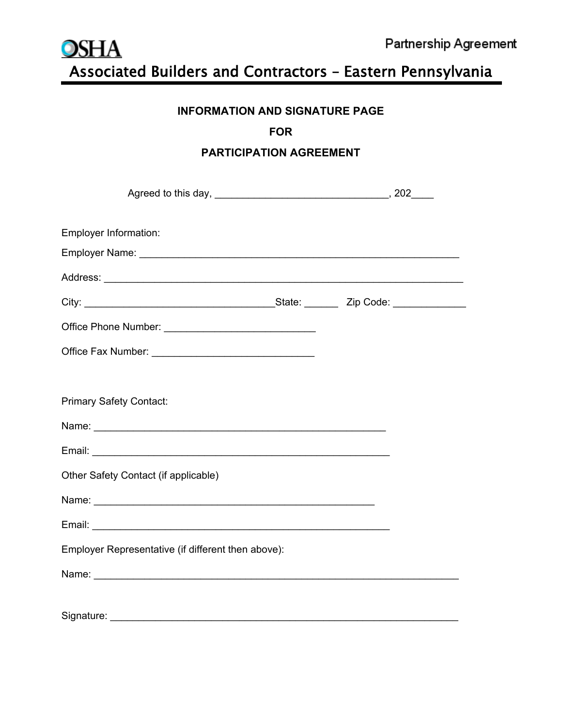

#### **INFORMATION AND SIGNATURE PAGE**

#### **FOR**

#### **PARTICIPATION AGREEMENT**

| <b>Employer Information:</b>                       |  |
|----------------------------------------------------|--|
|                                                    |  |
|                                                    |  |
|                                                    |  |
|                                                    |  |
|                                                    |  |
|                                                    |  |
| <b>Primary Safety Contact:</b>                     |  |
|                                                    |  |
|                                                    |  |
| Other Safety Contact (if applicable)               |  |
|                                                    |  |
|                                                    |  |
| Employer Representative (if different then above): |  |
|                                                    |  |
|                                                    |  |
| Signature:                                         |  |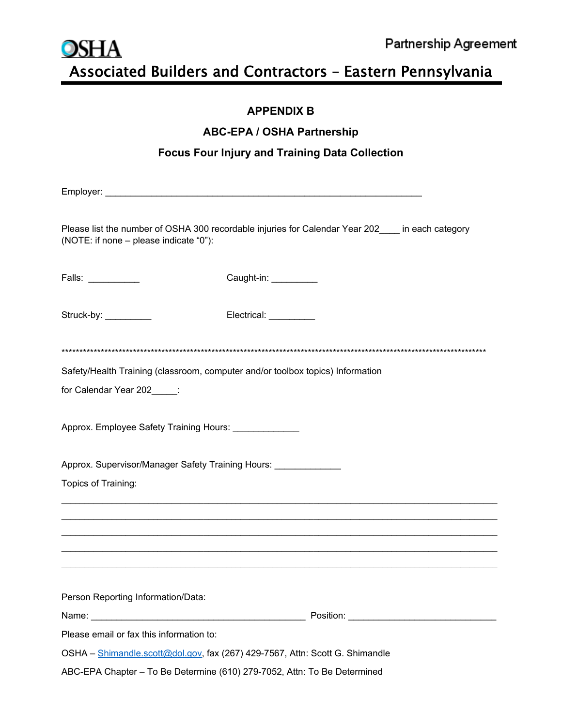

#### **APPENDIX B**

#### **ABC-EPA / OSHA Partnership**

### **Focus Four Injury and Training Data Collection**

|                                                                                   | Please list the number of OSHA 300 recordable injuries for Calendar Year 202____ in each category |
|-----------------------------------------------------------------------------------|---------------------------------------------------------------------------------------------------|
| (NOTE: if none - please indicate "0"):                                            |                                                                                                   |
| Falls: $\_\_$                                                                     | Caught-in: __________                                                                             |
| Struck-by:                                                                        | Electrical: _________                                                                             |
|                                                                                   |                                                                                                   |
| Safety/Health Training (classroom, computer and/or toolbox topics) Information    |                                                                                                   |
| for Calendar Year 202_____:                                                       |                                                                                                   |
|                                                                                   |                                                                                                   |
| Approx. Employee Safety Training Hours: ______________                            |                                                                                                   |
|                                                                                   |                                                                                                   |
| Approx. Supervisor/Manager Safety Training Hours: _______________________________ |                                                                                                   |
| Topics of Training:                                                               |                                                                                                   |
|                                                                                   |                                                                                                   |
|                                                                                   |                                                                                                   |
|                                                                                   |                                                                                                   |
|                                                                                   |                                                                                                   |
|                                                                                   |                                                                                                   |
| Person Reporting Information/Data:                                                |                                                                                                   |
|                                                                                   |                                                                                                   |
| Please email or fax this information to:                                          |                                                                                                   |
| OSHA - Shimandle.scott@dol.gov, fax (267) 429-7567, Attn: Scott G. Shimandle      |                                                                                                   |
| ABC-EPA Chapter - To Be Determine (610) 279-7052, Attn: To Be Determined          |                                                                                                   |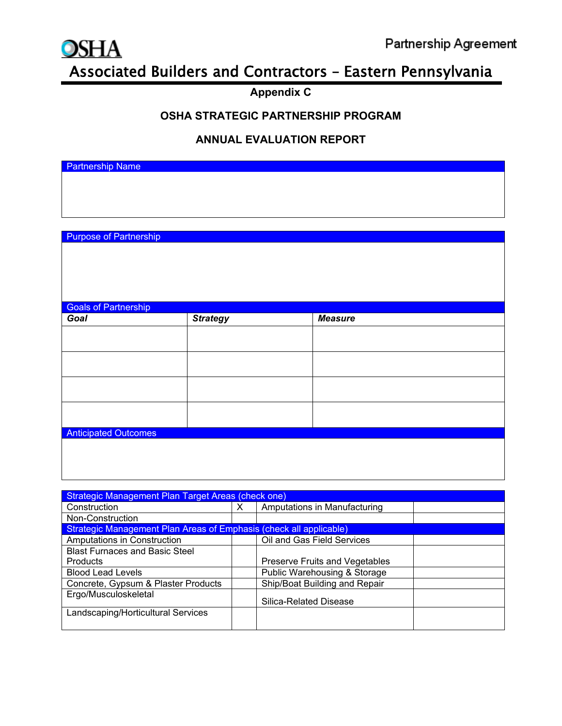

### **Appendix C**

#### **OSHA STRATEGIC PARTNERSHIP PROGRAM**

#### **ANNUAL EVALUATION REPORT**

Partnership Name

Purpose of Partnership

| <b>Goals of Partnership</b> |                 |                |  |  |
|-----------------------------|-----------------|----------------|--|--|
| Goal                        | <b>Strategy</b> | <b>Measure</b> |  |  |
|                             |                 |                |  |  |
|                             |                 |                |  |  |
|                             |                 |                |  |  |
|                             |                 |                |  |  |
|                             |                 |                |  |  |
|                             |                 |                |  |  |
|                             |                 |                |  |  |
|                             |                 |                |  |  |
| <b>Anticipated Outcomes</b> |                 |                |  |  |
|                             |                 |                |  |  |
|                             |                 |                |  |  |
|                             |                 |                |  |  |

| <b>Strategic Management Plan Target Areas (check one)</b>          |   |                                |  |
|--------------------------------------------------------------------|---|--------------------------------|--|
| Construction                                                       | х | Amputations in Manufacturing   |  |
| Non-Construction                                                   |   |                                |  |
| Strategic Management Plan Areas of Emphasis (check all applicable) |   |                                |  |
| Amputations in Construction                                        |   | Oil and Gas Field Services     |  |
| <b>Blast Furnaces and Basic Steel</b>                              |   |                                |  |
| <b>Products</b>                                                    |   | Preserve Fruits and Vegetables |  |
| <b>Blood Lead Levels</b>                                           |   | Public Warehousing & Storage   |  |
| Concrete, Gypsum & Plaster Products                                |   | Ship/Boat Building and Repair  |  |
| Ergo/Musculoskeletal                                               |   | Silica-Related Disease         |  |
| Landscaping/Horticultural Services                                 |   |                                |  |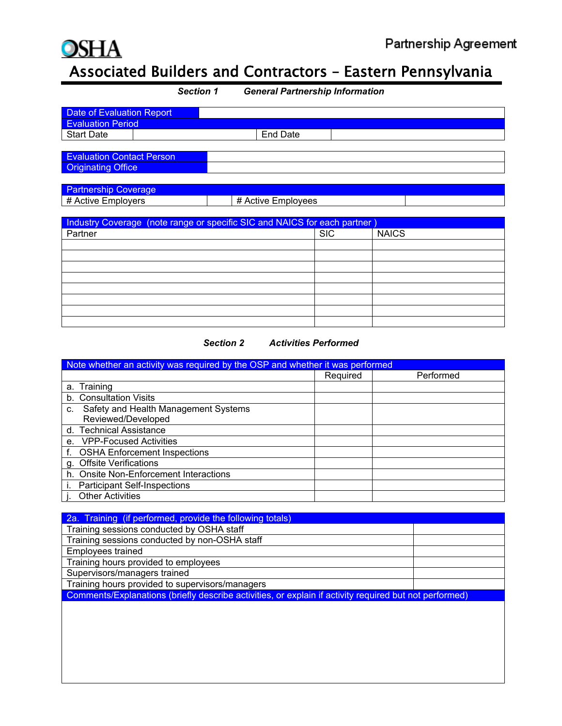

| <b>General Partnership Information</b><br><b>Section 1</b>                |                    |            |              |  |
|---------------------------------------------------------------------------|--------------------|------------|--------------|--|
| <b>Date of Evaluation Report</b>                                          |                    |            |              |  |
| <b>Evaluation Period</b>                                                  |                    |            |              |  |
| <b>Start Date</b>                                                         | <b>End Date</b>    |            |              |  |
|                                                                           |                    |            |              |  |
| <b>Evaluation Contact Person</b>                                          |                    |            |              |  |
| <b>Originating Office</b>                                                 |                    |            |              |  |
|                                                                           |                    |            |              |  |
| <b>Partnership Coverage</b>                                               |                    |            |              |  |
| # Active Employers                                                        | # Active Employees |            |              |  |
|                                                                           |                    |            |              |  |
| Industry Coverage (note range or specific SIC and NAICS for each partner) |                    |            |              |  |
| Partner                                                                   |                    | <b>SIC</b> | <b>NAICS</b> |  |
|                                                                           |                    |            |              |  |
|                                                                           |                    |            |              |  |
|                                                                           |                    |            |              |  |
|                                                                           |                    |            |              |  |



| Note whether an activity was required by the OSP and whether it was performed |          |           |  |
|-------------------------------------------------------------------------------|----------|-----------|--|
|                                                                               | Required | Performed |  |
| a. Training                                                                   |          |           |  |
| b. Consultation Visits                                                        |          |           |  |
| Safety and Health Management Systems<br>C.                                    |          |           |  |
| Reviewed/Developed                                                            |          |           |  |
| d. Technical Assistance                                                       |          |           |  |
| e. VPP-Focused Activities                                                     |          |           |  |
| <b>OSHA Enforcement Inspections</b>                                           |          |           |  |
| g. Offsite Verifications                                                      |          |           |  |
| h. Onsite Non-Enforcement Interactions                                        |          |           |  |
| <b>Participant Self-Inspections</b>                                           |          |           |  |
| <b>Other Activities</b>                                                       |          |           |  |

| 2a. Training (if performed, provide the following totals)                                              |  |
|--------------------------------------------------------------------------------------------------------|--|
| Training sessions conducted by OSHA staff                                                              |  |
| Training sessions conducted by non-OSHA staff                                                          |  |
| <b>Employees trained</b>                                                                               |  |
| Training hours provided to employees                                                                   |  |
| Supervisors/managers trained                                                                           |  |
| Training hours provided to supervisors/managers                                                        |  |
| Comments/Explanations (briefly describe activities, or explain if activity required but not performed) |  |
|                                                                                                        |  |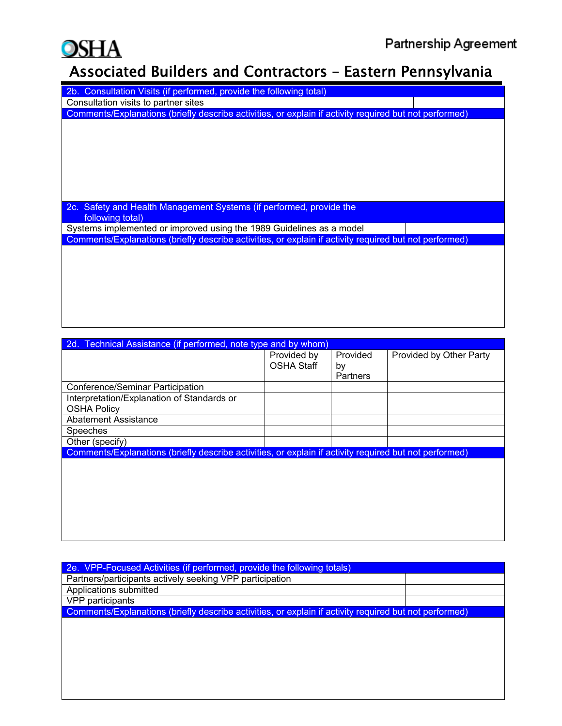## **OSHA**

## Associated Builders and Contractors – Eastern Pennsylvania

| Consultation Visits (if performed, provide the following total)<br>2b.                                 |
|--------------------------------------------------------------------------------------------------------|
| Consultation visits to partner sites                                                                   |
| Comments/Explanations (briefly describe activities, or explain if activity required but not performed) |
|                                                                                                        |
|                                                                                                        |
|                                                                                                        |
|                                                                                                        |
|                                                                                                        |
|                                                                                                        |
|                                                                                                        |
|                                                                                                        |
| Safety and Health Management Systems (if performed, provide the<br>2c.                                 |
| following total)                                                                                       |
| Systems implemented or improved using the 1989 Guidelines as a model                                   |
| Comments/Explanations (briefly describe activities, or explain if activity required but not performed) |
|                                                                                                        |
|                                                                                                        |
|                                                                                                        |
|                                                                                                        |
|                                                                                                        |

| 2d. Technical Assistance (if performed, note type and by whom)                                         |                   |                 |                         |
|--------------------------------------------------------------------------------------------------------|-------------------|-----------------|-------------------------|
|                                                                                                        | Provided by       | Provided        | Provided by Other Party |
|                                                                                                        | <b>OSHA Staff</b> | by              |                         |
|                                                                                                        |                   | <b>Partners</b> |                         |
| Conference/Seminar Participation                                                                       |                   |                 |                         |
| Interpretation/Explanation of Standards or                                                             |                   |                 |                         |
| <b>OSHA Policy</b>                                                                                     |                   |                 |                         |
| <b>Abatement Assistance</b>                                                                            |                   |                 |                         |
| Speeches                                                                                               |                   |                 |                         |
| Other (specify)                                                                                        |                   |                 |                         |
| Comments/Explanations (briefly describe activities, or explain if activity required but not performed) |                   |                 |                         |
|                                                                                                        |                   |                 |                         |
|                                                                                                        |                   |                 |                         |
|                                                                                                        |                   |                 |                         |
|                                                                                                        |                   |                 |                         |
|                                                                                                        |                   |                 |                         |
|                                                                                                        |                   |                 |                         |

| 2e. VPP-Focused Activities (if performed, provide the following totals)                                |  |
|--------------------------------------------------------------------------------------------------------|--|
| Partners/participants actively seeking VPP participation                                               |  |
| Applications submitted                                                                                 |  |
| VPP participants                                                                                       |  |
| Comments/Explanations (briefly describe activities, or explain if activity required but not performed) |  |
|                                                                                                        |  |
|                                                                                                        |  |
|                                                                                                        |  |
|                                                                                                        |  |
|                                                                                                        |  |
|                                                                                                        |  |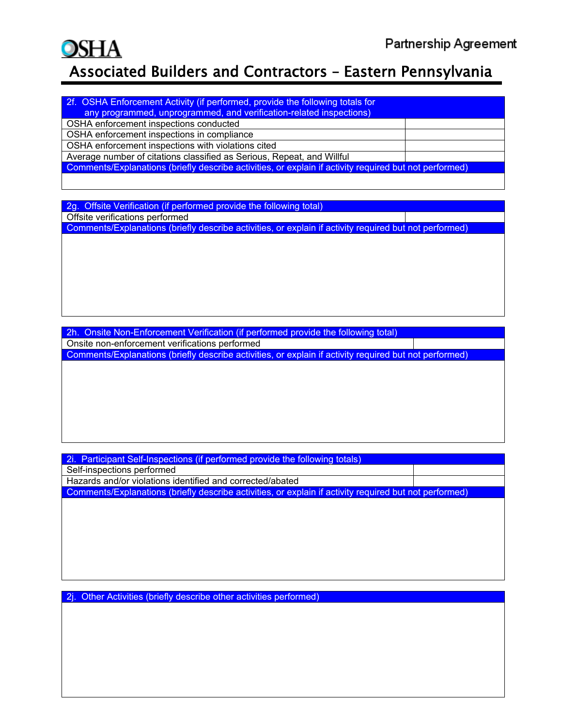# OSHA

## Associated Builders and Contractors – Eastern Pennsylvania

| 2f. OSHA Enforcement Activity (if performed, provide the following totals for                          |  |
|--------------------------------------------------------------------------------------------------------|--|
| any programmed, unprogrammed, and verification-related inspections)                                    |  |
| OSHA enforcement inspections conducted                                                                 |  |
| OSHA enforcement inspections in compliance                                                             |  |
| OSHA enforcement inspections with violations cited                                                     |  |
| Average number of citations classified as Serious, Repeat, and Willful                                 |  |
| Comments/Explanations (briefly describe activities, or explain if activity required but not performed) |  |
|                                                                                                        |  |

2g. Offsite Verification (if performed provide the following total) Offsite verifications performed Comments/Explanations (briefly describe activities, or explain if activity required but not performed)

2h. Onsite Non-Enforcement Verification (if performed provide the following total) Onsite non-enforcement verifications performed Comments/Explanations (briefly describe activities, or explain if activity required but not performed)

2i. Participant Self-Inspections (if performed provide the following totals) Self-inspections performed Hazards and/or violations identified and corrected/abated Comments/Explanations (briefly describe activities, or explain if activity required but not performed)

2j. Other Activities (briefly describe other activities performed)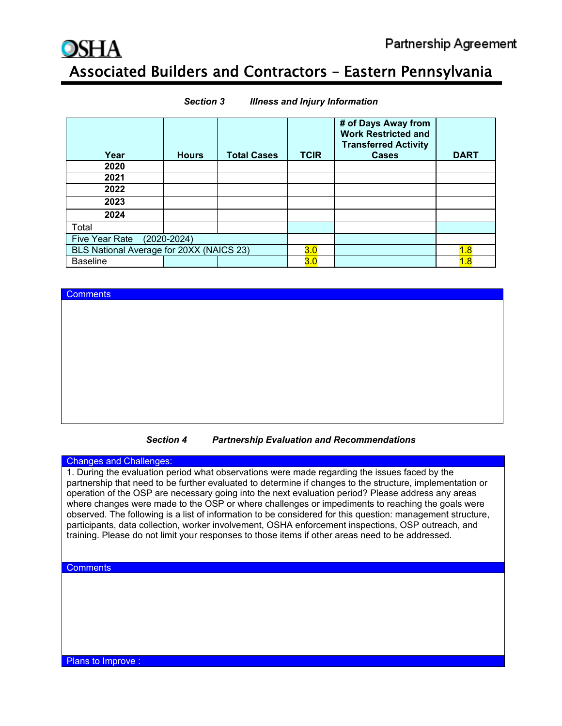**Comments** 

## Associated Builders and Contractors – Eastern Pennsylvania

| Year                                     | <b>Hours</b> | <b>Total Cases</b> | <b>TCIR</b> | # of Days Away from<br><b>Work Restricted and</b><br><b>Transferred Activity</b><br><b>Cases</b> | <b>DART</b> |
|------------------------------------------|--------------|--------------------|-------------|--------------------------------------------------------------------------------------------------|-------------|
| 2020                                     |              |                    |             |                                                                                                  |             |
| 2021                                     |              |                    |             |                                                                                                  |             |
| 2022                                     |              |                    |             |                                                                                                  |             |
| 2023                                     |              |                    |             |                                                                                                  |             |
| 2024                                     |              |                    |             |                                                                                                  |             |
| Total                                    |              |                    |             |                                                                                                  |             |
| Five Year Rate (2020-2024)               |              |                    |             |                                                                                                  |             |
| BLS National Average for 20XX (NAICS 23) |              |                    | 3.0         |                                                                                                  | 1.8         |
| <b>Baseline</b>                          |              |                    | 3.0         |                                                                                                  | 1.8         |

#### *Section 3 Illness and Injury Information*

*Section 4 Partnership Evaluation and Recommendations*

#### Changes and Challenges:

1. During the evaluation period what observations were made regarding the issues faced by the partnership that need to be further evaluated to determine if changes to the structure, implementation or operation of the OSP are necessary going into the next evaluation period? Please address any areas where changes were made to the OSP or where challenges or impediments to reaching the goals were observed. The following is a list of information to be considered for this question: management structure, participants, data collection, worker involvement, OSHA enforcement inspections, OSP outreach, and training. Please do not limit your responses to those items if other areas need to be addressed.

#### **Comments**

Plans to Improve :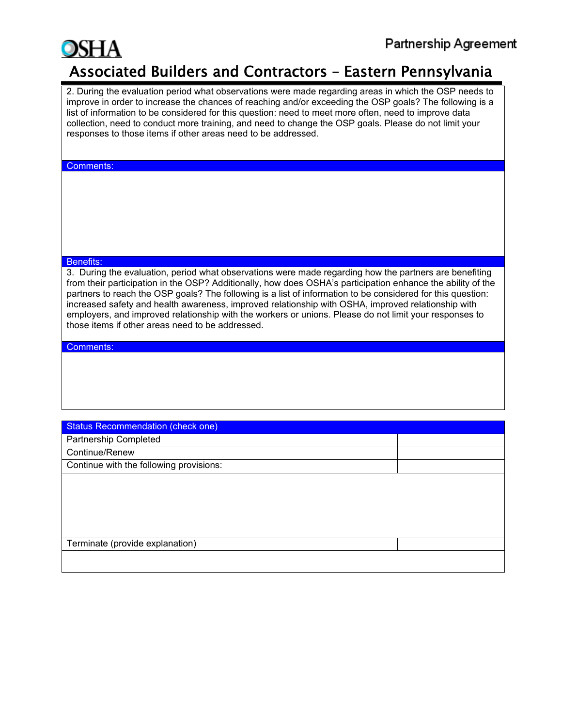

2. During the evaluation period what observations were made regarding areas in which the OSP needs to improve in order to increase the chances of reaching and/or exceeding the OSP goals? The following is a list of information to be considered for this question: need to meet more often, need to improve data collection, need to conduct more training, and need to change the OSP goals. Please do not limit your responses to those items if other areas need to be addressed.

#### Comments:

#### Benefits:

3. During the evaluation, period what observations were made regarding how the partners are benefiting from their participation in the OSP? Additionally, how does OSHA's participation enhance the ability of the partners to reach the OSP goals? The following is a list of information to be considered for this question: increased safety and health awareness, improved relationship with OSHA, improved relationship with employers, and improved relationship with the workers or unions. Please do not limit your responses to those items if other areas need to be addressed.

#### Comments:

| <b>Status Recommendation (check one)</b> |  |  |  |  |  |
|------------------------------------------|--|--|--|--|--|
| <b>Partnership Completed</b>             |  |  |  |  |  |
| Continue/Renew                           |  |  |  |  |  |
| Continue with the following provisions:  |  |  |  |  |  |
|                                          |  |  |  |  |  |
|                                          |  |  |  |  |  |
|                                          |  |  |  |  |  |
|                                          |  |  |  |  |  |
|                                          |  |  |  |  |  |
| Terminate (provide explanation)          |  |  |  |  |  |
|                                          |  |  |  |  |  |